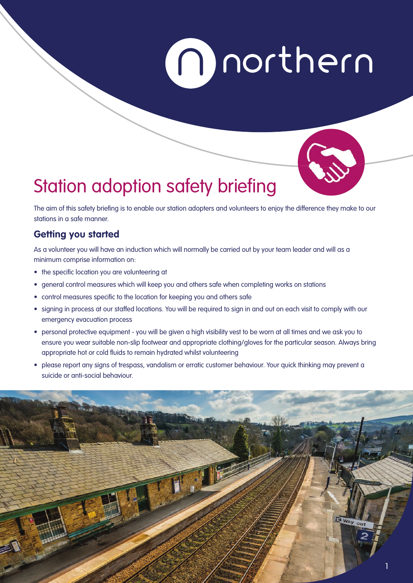# morthern



# Station adoption safety briefing

The aim of this safety briefing is to enable our station adopters and volunteers to enjoy the difference they make to our stations in a safe manner.

# **Getting you started**

As a volunteer you will have an induction which will normally be carried out by your team leader and will as a minimum comprise information on:

- the specific location you are volunteering at
- general control measures which will keep you and others safe when completing works on stations
- control measures specific to the location for keeping you and others safe
- signing in process at our staffed locations. You will be required to sign in and out on each visit to comply with our emergency evacuation process
- personal protective equipment you will be given a high visibility vest to be worn at all times and we ask you to ensure you wear suitable non-slip footwear and appropriate clothing/gloves for the particular season. Always bring appropriate hot or cold fluids to remain hydrated whilst volunteering
- please report any signs of trespass, vandalism or erratic customer behaviour. Your quick thinking may prevent a suicide or anti-social behaviour.

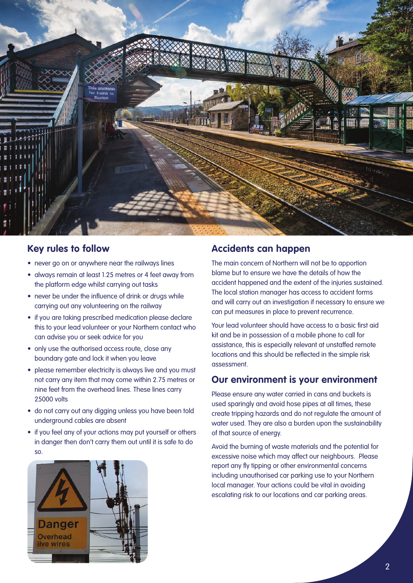

#### **Key rules to follow**

- never go on or anywhere near the railways lines
- always remain at least 1.25 metres or 4 feet away from the platform edge whilst carrying out tasks
- never be under the influence of drink or drugs while carrying out any volunteering on the railway
- if you are taking prescribed medication please declare this to your lead volunteer or your Northern contact who can advise you or seek advice for you
- only use the authorised access route, close any boundary gate and lock it when you leave
- please remember electricity is always live and you must not carry any item that may come within 2.75 metres or nine feet from the overhead lines. These lines carry 25000 volts
- do not carry out any digging unless you have been told underground cables are absent
- if you feel any of your actions may put yourself or others in danger then don't carry them out until it is safe to do so.



#### **Accidents can happen**

The main concern of Northern will not be to apportion blame but to ensure we have the details of how the accident happened and the extent of the injuries sustained. The local station manager has access to accident forms and will carry out an investigation if necessary to ensure we can put measures in place to prevent recurrence.

Your lead volunteer should have access to a basic first aid kit and be in possession of a mobile phone to call for assistance, this is especially relevant at unstaffed remote locations and this should be reflected in the simple risk assessment.

#### **Our environment is your environment**

Please ensure any water carried in cans and buckets is used sparingly and avoid hose pipes at all times, these create tripping hazards and do not regulate the amount of water used. They are also a burden upon the sustainability of that source of energy.

Avoid the burning of waste materials and the potential for excessive noise which may affect our neighbours. Please report any fly tipping or other environmental concerns including unauthorised car parking use to your Northern local manager. Your actions could be vital in avoiding escalating risk to our locations and car parking areas.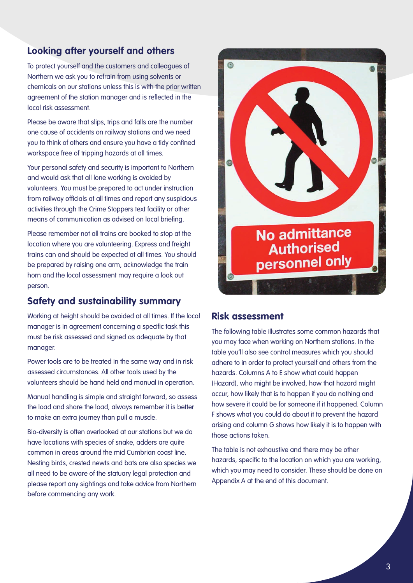## **Looking after yourself and others**

To protect yourself and the customers and colleagues of Northern we ask you to refrain from using solvents or chemicals on our stations unless this is with the prior written agreement of the station manager and is reflected in the local risk assessment.

Please be aware that slips, trips and falls are the number one cause of accidents on railway stations and we need you to think of others and ensure you have a tidy confined workspace free of tripping hazards at all times.

Your personal safety and security is important to Northern and would ask that all lone working is avoided by volunteers. You must be prepared to act under instruction from railway officials at all times and report any suspicious activities through the Crime Stoppers text facility or other means of communication as advised on local briefing.

Please remember not all trains are booked to stop at the location where you are volunteering. Express and freight trains can and should be expected at all times. You should be prepared by raising one arm, acknowledge the train horn and the local assessment may require a look out person.

### **Safety and sustainability summary**

Working at height should be avoided at all times. If the local manager is in agreement concerning a specific task this must be risk assessed and signed as adequate by that manager.

Power tools are to be treated in the same way and in risk assessed circumstances. All other tools used by the volunteers should be hand held and manual in operation.

Manual handling is simple and straight forward, so assess the load and share the load, always remember it is better to make an extra journey than pull a muscle.

Bio-diversity is often overlooked at our stations but we do have locations with species of snake, adders are quite common in areas around the mid Cumbrian coast line. Nesting birds, crested newts and bats are also species we all need to be aware of the statuary legal protection and please report any sightings and take advice from Northern before commencing any work.



#### **Risk assessment**

The following table illustrates some common hazards that you may face when working on Northern stations. In the table you'll also see control measures which you should adhere to in order to protect yourself and others from the hazards. Columns A to E show what could happen (Hazard), who might be involved, how that hazard might occur, how likely that is to happen if you do nothing and how severe it could be for someone if it happened. Column F shows what you could do about it to prevent the hazard arising and column G shows how likely it is to happen with those actions taken.

The table is not exhaustive and there may be other hazards, specific to the location on which you are working, which you may need to consider. These should be done on Appendix A at the end of this document.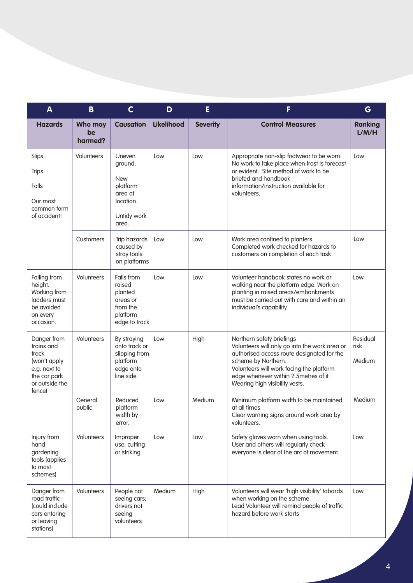| $\mathbf{A}$                                                                                                   | B                        | $\mathsf{C}$                                                                                | D                 | E               | F                                                                                                                                                                                                                                                                      | G                          |
|----------------------------------------------------------------------------------------------------------------|--------------------------|---------------------------------------------------------------------------------------------|-------------------|-----------------|------------------------------------------------------------------------------------------------------------------------------------------------------------------------------------------------------------------------------------------------------------------------|----------------------------|
| <b>Hazards</b>                                                                                                 | Who may<br>be<br>harmed? | <b>Causation</b>                                                                            | <b>Likelihood</b> | <b>Severity</b> | <b>Control Measures</b>                                                                                                                                                                                                                                                | <b>Ranking</b><br>L/M/H    |
| Slips<br><b>Trips</b><br>Falls<br>Our most<br>common form<br>of accident!                                      | Volunteers               | Uneven<br>ground.<br><b>New</b><br>platform<br>area at<br>location.<br>Untidy work<br>area. | Low               | Low             | Appropriate non-slip footwear to be worn.<br>No work to take place when frost is forecast<br>or evident. Site method of work to be<br>briefed and handbook<br>information/instruction available for<br>volunteers.                                                     | Low                        |
|                                                                                                                | Customers                | Trip hazards<br>caused by<br>stray tools<br>on platforms                                    | Low               | Low             | Work area confined to planters<br>Completed work checked for hazards to<br>customers on completion of each task                                                                                                                                                        | Low                        |
| Falling from<br>height.<br>Working from<br>ladders must<br>be avoided<br>on every<br>occasion.                 | Volunteers               | Falls from<br>raised<br>planted<br>areas or<br>from the<br>platform<br>edge to track        | Low               | Low             | Volunteer handbook states no work or<br>walking near the platform edge. Work on<br>planting in raised areas/embankments<br>must be carried out with care and within an<br>individual's capability.                                                                     | Low                        |
| Danger from<br>trains and<br>track<br>(won't apply<br>e.g. next to<br>the car park<br>or outside the<br>fence) | Volunteers               | By straying<br>onto track or<br>slipping from<br>platform<br>edge onto<br>line side.        | Low               | High            | Northern safety briefings<br>Volunteers will only go into the work area or<br>authorised access route designated for the<br>scheme by Northern.<br>Volunteers will work facing the platform<br>edge whenever within 2.5metres of it.<br>Wearing high visibility vests. | Residual<br>risk<br>Medium |
|                                                                                                                | General<br>public        | Reduced<br>platform<br>width by<br>error.                                                   | Low               | Medium          | Minimum platform width to be maintained<br>at all times.<br>Clear warning signs around work area by<br>volunteers.                                                                                                                                                     | Medium                     |
| Injury from<br>hand<br>gardening<br>tools (applies<br>to most<br>schemes)                                      | Volunteers               | Improper<br>use, cutting<br>or striking                                                     | Low               | Low             | Safety gloves worn when using tools.<br>User and others will regularly check<br>everyone is clear of the arc of movement.                                                                                                                                              | Low                        |
| Danger from<br>road traffic<br>(could include<br>cars entering<br>or leaving<br>stations)                      | Volunteers               | People not<br>seeing cars;<br>drivers not<br>seeing<br>volunteers                           | Medium            | High            | Volunteers will wear 'high visibility' tabards<br>when working on the scheme<br>Lead Volunteer will remind people of traffic<br>hazard before work starts                                                                                                              | Low                        |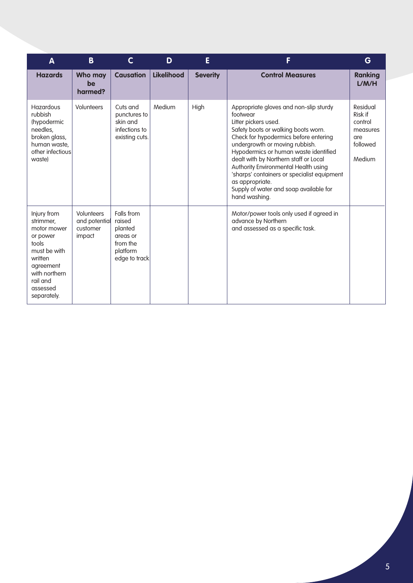| A                                                                                                                                                            | B                                                        | C                                                                                    | D                 | E               | F                                                                                                                                                                                                                                                                                                                                                                                                                                                   | G                                                                       |
|--------------------------------------------------------------------------------------------------------------------------------------------------------------|----------------------------------------------------------|--------------------------------------------------------------------------------------|-------------------|-----------------|-----------------------------------------------------------------------------------------------------------------------------------------------------------------------------------------------------------------------------------------------------------------------------------------------------------------------------------------------------------------------------------------------------------------------------------------------------|-------------------------------------------------------------------------|
| <b>Hazards</b>                                                                                                                                               | Who may<br>be<br>harmed?                                 | <b>Causation</b>                                                                     | <b>Likelihood</b> | <b>Severity</b> | <b>Control Measures</b>                                                                                                                                                                                                                                                                                                                                                                                                                             | <b>Ranking</b><br>L/M/H                                                 |
| <b>Hazardous</b><br>rubbish<br>(hypodermic<br>needles,<br>broken glass,<br>human waste,<br>other infectious<br>waste)                                        | <b>Volunteers</b>                                        | Cuts and<br>punctures to<br>skin and<br>infections to<br>existing cuts.              | Medium            | High            | Appropriate gloves and non-slip sturdy<br>footwear<br>Litter pickers used.<br>Safety boots or walking boots worn.<br>Check for hypodermics before entering<br>undergrowth or moving rubbish.<br>Hypodermics or human waste identified<br>dealt with by Northern staff or Local<br>Authority Environmental Health using<br>'sharps' containers or specialist equipment<br>as appropriate.<br>Supply of water and soap available for<br>hand washing. | Residual<br>Risk if<br>control<br>measures<br>are<br>followed<br>Medium |
| Injury from<br>strimmer,<br>motor mower<br>or power<br>tools<br>must be with<br>written<br>agreement<br>with northern<br>rail and<br>assessed<br>separately. | <b>Volunteers</b><br>and potential<br>customer<br>impact | Falls from<br>raised<br>planted<br>areas or<br>from the<br>platform<br>edge to track |                   |                 | Motor/power tools only used if agreed in<br>advance by Northern<br>and assessed as a specific task.                                                                                                                                                                                                                                                                                                                                                 |                                                                         |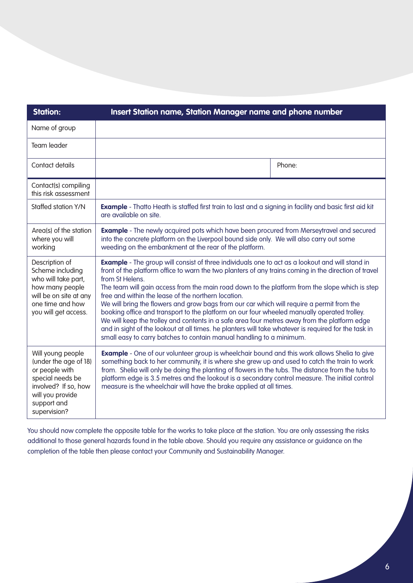| <b>Station:</b>                                                                                                                                             | Insert Station name, Station Manager name and phone number                                                                                                                                                                                                                                                                                                                                                                                                                                                                                                                                                                                                                                                                                                                                                                                                              |        |  |  |
|-------------------------------------------------------------------------------------------------------------------------------------------------------------|-------------------------------------------------------------------------------------------------------------------------------------------------------------------------------------------------------------------------------------------------------------------------------------------------------------------------------------------------------------------------------------------------------------------------------------------------------------------------------------------------------------------------------------------------------------------------------------------------------------------------------------------------------------------------------------------------------------------------------------------------------------------------------------------------------------------------------------------------------------------------|--------|--|--|
| Name of group                                                                                                                                               |                                                                                                                                                                                                                                                                                                                                                                                                                                                                                                                                                                                                                                                                                                                                                                                                                                                                         |        |  |  |
| Team leader                                                                                                                                                 |                                                                                                                                                                                                                                                                                                                                                                                                                                                                                                                                                                                                                                                                                                                                                                                                                                                                         |        |  |  |
| Contact details                                                                                                                                             |                                                                                                                                                                                                                                                                                                                                                                                                                                                                                                                                                                                                                                                                                                                                                                                                                                                                         | Phone: |  |  |
| Contact(s) compiling<br>this risk assessment                                                                                                                |                                                                                                                                                                                                                                                                                                                                                                                                                                                                                                                                                                                                                                                                                                                                                                                                                                                                         |        |  |  |
| Staffed station Y/N                                                                                                                                         | <b>Example</b> - Thatto Heath is staffed first train to last and a signing in facility and basic first aid kit<br>are available on site.                                                                                                                                                                                                                                                                                                                                                                                                                                                                                                                                                                                                                                                                                                                                |        |  |  |
| Area(s) of the station<br>where you will<br>working                                                                                                         | <b>Example</b> - The newly acquired pots which have been procured from Merseytravel and secured<br>into the concrete platform on the Liverpool bound side only. We will also carry out some<br>weeding on the embankment at the rear of the platform.                                                                                                                                                                                                                                                                                                                                                                                                                                                                                                                                                                                                                   |        |  |  |
| Description of<br>Scheme including<br>who will take part,<br>how many people<br>will be on site at any<br>one time and how<br>you will get access.          | <b>Example</b> - The group will consist of three individuals one to act as a lookout and will stand in<br>front of the platform office to warn the two planters of any trains coming in the direction of travel<br>from St Helens.<br>The team will gain access from the main road down to the platform from the slope which is step<br>free and within the lease of the northern location.<br>We will bring the flowers and grow bags from our car which will require a permit from the<br>booking office and transport to the platform on our four wheeled manually operated trolley.<br>We will keep the trolley and contents in a safe area four metres away from the platform edge<br>and in sight of the lookout at all times. he planters will take whatever is required for the task in<br>small easy to carry batches to contain manual handling to a minimum. |        |  |  |
| Will young people<br>(under the age of 18)<br>or people with<br>special needs be<br>involved? If so, how<br>will you provide<br>support and<br>supervision? | <b>Example</b> - One of our volunteer group is wheelchair bound and this work allows Shelia to give<br>something back to her community, it is where she grew up and used to catch the train to work<br>from. Shelia will only be doing the planting of flowers in the tubs. The distance from the tubs to<br>platform edge is 3.5 metres and the lookout is a secondary control measure. The initial control<br>measure is the wheelchair will have the brake applied at all times.                                                                                                                                                                                                                                                                                                                                                                                     |        |  |  |

You should now complete the opposite table for the works to take place at the station. You are only assessing the risks additional to those general hazards found in the table above. Should you require any assistance or guidance on the completion of the table then please contact your Community and Sustainability Manager.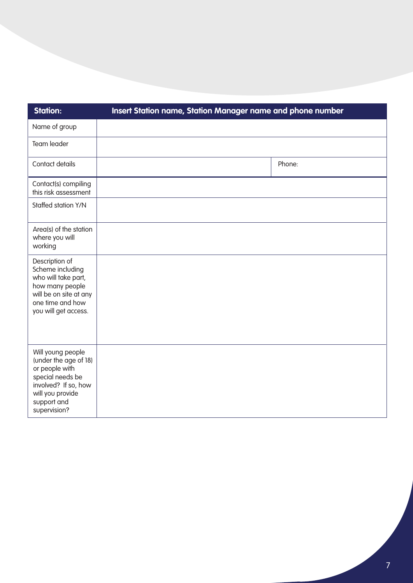| <b>Station:</b>                                                                                                                                             | Insert Station name, Station Manager name and phone number |        |
|-------------------------------------------------------------------------------------------------------------------------------------------------------------|------------------------------------------------------------|--------|
| Name of group                                                                                                                                               |                                                            |        |
| Team leader                                                                                                                                                 |                                                            |        |
| Contact details                                                                                                                                             |                                                            | Phone: |
| Contact(s) compiling<br>this risk assessment                                                                                                                |                                                            |        |
| Staffed station Y/N                                                                                                                                         |                                                            |        |
| Area(s) of the station<br>where you will<br>working                                                                                                         |                                                            |        |
| Description of<br>Scheme including<br>who will take part,<br>how many people<br>will be on site at any<br>one time and how<br>you will get access.          |                                                            |        |
| Will young people<br>(under the age of 18)<br>or people with<br>special needs be<br>involved? If so, how<br>will you provide<br>support and<br>supervision? |                                                            |        |